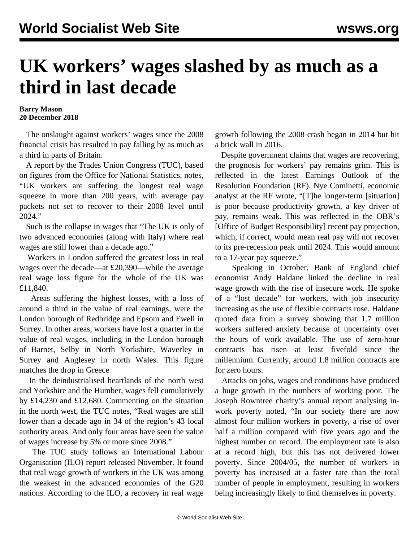## **UK workers' wages slashed by as much as a third in last decade**

## **Barry Mason 20 December 2018**

 The onslaught against workers' wages since the 2008 financial crisis has resulted in pay falling by as much as a third in parts of Britain.

 A report by the Trades Union Congress (TUC), based on figures from the Office for National Statistics, notes, "UK workers are suffering the longest real wage squeeze in more than 200 years, with average pay packets not set to recover to their 2008 level until 2024."

 Such is the collapse in wages that "The UK is only of two advanced economies (along with Italy) where real wages are still lower than a decade ago."

 Workers in London suffered the greatest loss in real wages over the decade—at £20,390—while the average real wage loss figure for the whole of the UK was £11,840.

 Areas suffering the highest losses, with a loss of around a third in the value of real earnings, were the London borough of Redbridge and Epsom and Ewell in Surrey. In other areas, workers have lost a quarter in the value of real wages, including in the London borough of Barnet, Selby in North Yorkshire, Waverley in Surrey and Anglesey in north Wales. This figure matches the drop in Greece

 In the deindustrialised heartlands of the north west and Yorkshire and the Humber, wages fell cumulatively by £14,230 and £12,680. Commenting on the situation in the north west, the TUC notes, "Real wages are still lower than a decade ago in 34 of the region's 43 local authority areas. And only four areas have seen the value of wages increase by 5% or more since 2008."

 The TUC study follows an International Labour Organisation (ILO) report released November. It found that real wage growth of workers in the UK was among the weakest in the advanced economies of the G20 nations. According to the ILO, a recovery in real wage growth following the 2008 crash began in 2014 but hit a brick wall in 2016.

 Despite government claims that wages are recovering, the prognosis for workers' pay remains grim. This is reflected in the latest Earnings Outlook of the Resolution Foundation (RF). Nye Cominetti, economic analyst at the RF wrote, "[T]he longer-term [situation] is poor because productivity growth, a key driver of pay, remains weak. This was reflected in the OBR's [Office of Budget Responsibility] recent pay projection, which, if correct, would mean real pay will not recover to its pre-recession peak until 2024. This would amount to a 17-year pay squeeze."

 Speaking in October, Bank of England chief economist Andy Haldane linked the decline in real wage growth with the rise of insecure work. He spoke of a "lost decade" for workers, with job insecurity increasing as the use of flexible contracts rose. Haldane quoted data from a survey showing that 1.7 million workers suffered anxiety because of uncertainty over the hours of work available. The use of zero-hour contracts has risen at least fivefold since the millennium. Currently, around 1.8 million contracts are for zero hours.

 Attacks on jobs, wages and conditions have produced a huge growth in the numbers of working poor. The Joseph Rowntree charity's annual report analysing inwork poverty noted, "In our society there are now almost four million workers in poverty, a rise of over half a million compared with five years ago and the highest number on record. The employment rate is also at a record high, but this has not delivered lower poverty. Since 2004/05, the number of workers in poverty has increased at a faster rate than the total number of people in employment, resulting in workers being increasingly likely to find themselves in poverty.